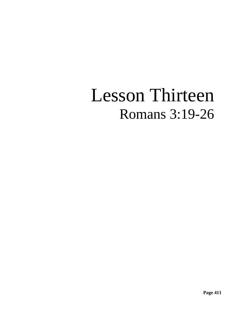# Lesson Thirteen Romans 3:19-26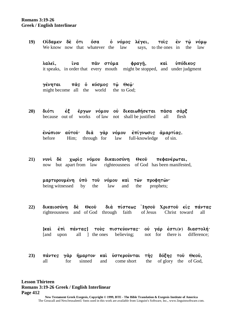**Romans 3:19-26 Greek / English Interlinear**

> 19) **Ο**ίδαμεν δέ ότι όσα ο νόμος λέγει, τοις εν τω νόμω We know now that whatever the law says, to the ones in the law

**λαλεῖ, ἵνα πα̂ν στόμα φραγῆ, καὶ ὑπόδικος** it speaks, in order that every mouth might be stopped, and under judgment

**γένηται πάς ο κόσμος τώ Θεώ·** might become all the world the to God;

20) διότι έξ έργων νόμου οὐ δικαιωθήσεται πασα σαρξ because out of works of law not shall be justified all flesh

ένώπιον αὐτοῦ<sup>.</sup> διὰ γὰρ νόμου ἐπίγνωσις ἁμαρτίας. before Him; through for law full-knowledge of sin.

21) *vuvi* δέ χωρίς νόμου δικαιοσύνη Θεοῦ πεφανέρωται, now but apart from law righteousness of God has been manifested,

μαρτυρουμένη ύπὸ τοῦ νόμου καὶ τῶν προφητῶν· being witnessed by the law and the prophets;

**22) dikaiosuvnh de; Qeou` dia; pivstew" jIhsou` Cristou` eij" pavnta"**  righteousness and of God through faith of Jesus Christ toward all

**[kai** επί πάντας] τούς πιστεύοντας· οὐ γάρ εστι(ν) διαστολή· [and upon all ] the ones believing; not for there is difference;

|     |  | 23) πάντες γάρ ήμαρτον και υστερουνται της δόξης του Θεου, |  |  |
|-----|--|------------------------------------------------------------|--|--|
| all |  | for sinned and come short the of glory the of God,         |  |  |

**Lesson Thirteen Romans 3:19-26 Greek / English Interlinear Page 412**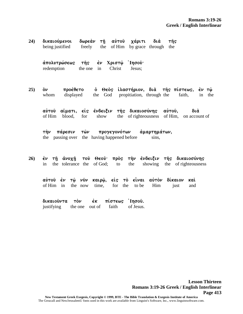| 24) | δικαιούμενοι<br>being justified                                                                         | δωρεὰν<br>τῆ αὐτοῦ<br>freely<br>the                        | χάριτι<br>of Him by grace through      | διά<br>τῆς<br>the                                                  |                  |  |  |
|-----|---------------------------------------------------------------------------------------------------------|------------------------------------------------------------|----------------------------------------|--------------------------------------------------------------------|------------------|--|--|
|     | ἀπολυτρώσεως τῆς ἐν<br>redemption                                                                       | the one<br>in                                              | ' Ἰησοῦ·<br>Χριστῷ<br>Christ<br>Jesus; |                                                                    |                  |  |  |
| 25) | προέθετο<br>ồν<br>displayed<br>whom                                                                     | God<br>the                                                 | propitiation, through the              | ό Θεός ίλαστήριον, διά της πίστεως, έν τώ<br>faith,                | the<br>in        |  |  |
|     | αὐτοῦ<br>of Him<br>blood,                                                                               | αἵματι, εἰς ἔνδειξιν τῆς δικαιοσύνης αὐτοῦ,<br>for<br>show |                                        | the of righteousness of Him, on account of                         | διά              |  |  |
|     | πάρεσιν τῶν<br>προγεγονότων άμαρτημάτων,<br>⊤ὴν<br>the passing over the having happened before<br>sins, |                                                            |                                        |                                                                    |                  |  |  |
| 26) | έν τῆ<br>the<br>in                                                                                      | tolerance the of God;                                      | the<br>to                              | άνοχη του Θεου πρός την ένδειξιν της δικαιοσύνης<br>showing<br>the | of righteousness |  |  |

**aujtou` ejn tw`/ nu`n kairw`/, eij" to; ei\nai aujto;n divkaion kai;**  of Him in the now time, for the to be Him just and

 $\delta$ ικαιούντα τον έκ πίστεως Ίησου. justifying the one out of faith of Jesus.

> **Lesson Thirteen Romans 3:19-26 Greek / English Interlinear Page 413**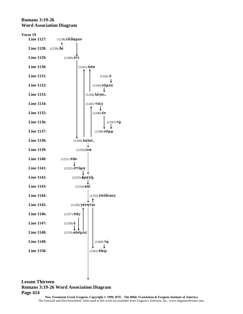### **Romans 3:19-26 Word Association Diagram**

**Verse 19 Line 1127:** (1238) **Oi[damen** Ť **Line 1128:** (1239) δε **Line 1129:**  $(1240)$   $\overset{\circ}{0}\overset{\bullet}{\mathbf{T}}\mathbf{L}$ **Line 1130:** (1241)  $\delta \sigma \alpha$ **Line 1131:** (1242)  $\dot{\mathbf{0}}$ **Line 1132:** (1243)  $\nu$  **(1243)**  $\nu$  (1243) **Line 1133:** (1244) λέγει, **Line 1134:** (1245) **toi`" Line 1135:**  $(1246) \, \dot{\epsilon} \nu$ **Line 1136:**  $(1247) \tau \hat{\omega}$ **Line 1137:**  $\left| \begin{array}{ccc} | & | & | \end{array} \right|$  (1248)  $\nu \phi \mu \omega$ **Line 1138:** (1249) **lalei`,** T **Line 1139:**  $(1250) \tilde{i} \nu a$ **Line 1140:**  $(1251) \pi \hat{a} \nu$ **Line 1141:** (1252) στόμα **Line 1142:**  $(1253) \hat{\phi} \rho a \gamma \hat{\eta}$ , **Line 1143:** (1254) **kai Line 1144:** (1255) ὑπόδικος  $\pmb{\uparrow}$ **Line 1145:** (1256) γένηται **Line 1146:** (1257)  $\pi \hat{a} s$ **Line 1147:**  $(1258)$  **o Line 1148:** (1259) **κόσμος Line 1149:**  $(1260) \tau \hat{\omega}$ **Line 1150:**  $(1261) \Theta \epsilon \hat{\omega}$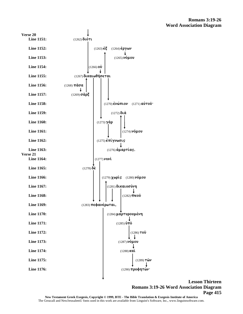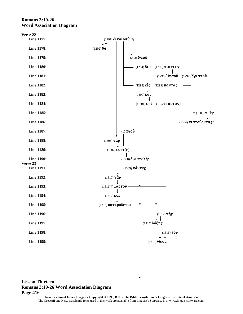### **Romans 3:19-26 Word Association Diagram**

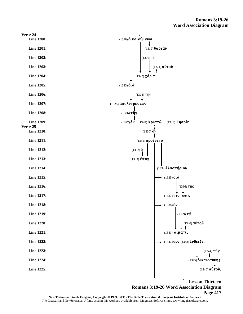

**Page 417**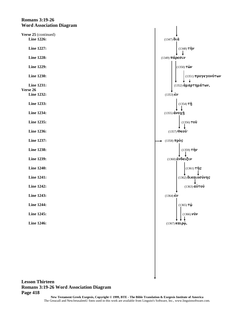### **Romans 3:19-26 Word Association Diagram**

| Verse 25 (continued)<br><b>Line 1226:</b>   |  |  |
|---------------------------------------------|--|--|
| Line 1227:                                  |  |  |
| <b>Line 1228:</b>                           |  |  |
| <b>Line 1229:</b>                           |  |  |
| <b>Line 1230:</b>                           |  |  |
| <b>Line 1231:</b><br>Verse 26<br>Line 1232: |  |  |
| Line 1233:                                  |  |  |
| <b>Line 1234:</b>                           |  |  |
| Line 1235:                                  |  |  |
| <b>Line 1236:</b>                           |  |  |
| Line 1237:                                  |  |  |
| <b>Line 1238:</b>                           |  |  |
| <b>Line 1239:</b>                           |  |  |
| <b>Line 1240:</b>                           |  |  |
| <b>Line 1241:</b>                           |  |  |
| Line 1242:                                  |  |  |
| <b>Line 1243:</b>                           |  |  |
| <b>Line 1244:</b>                           |  |  |
| Line 1245:                                  |  |  |
| <b>Line 1246:</b>                           |  |  |
|                                             |  |  |

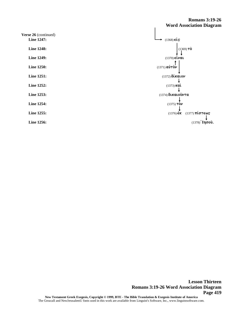### **Romans 3:19-26 Word Association Diagram**

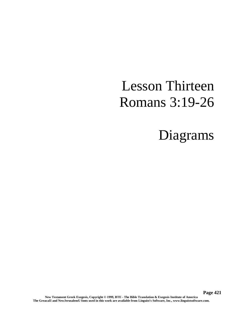# Lesson Thirteen Romans 3:19-26

## Diagrams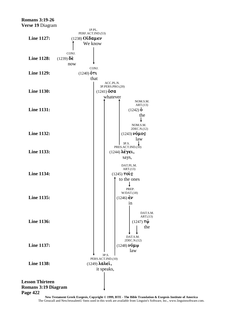### **Romans 3:19-26**

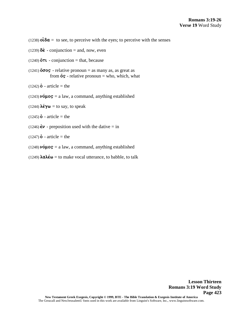(1238)  $\delta \hat{\alpha} =$  to see, to perceive with the eyes; to perceive with the senses

- $(1239)$   $\delta \dot{\epsilon}$  conjunction = and, now, even
- (1240)  $\ddot{\text{o}}$ T**l** conjunction = that, because
- (1241)  $\ddot{\text{o}}\sigma\text{o}s$  relative pronoun = as many as, as great as from  $\ddot{\mathbf{o}}\mathbf{s}$  - relative pronoun = who, which, what
- $(1242) \dot{\mathbf{0}}$  article = the
- $(1243)$   $\nu$ **(** $\mu$ **os** = a law, a command, anything established
- (1244)  $\lambda \acute{\epsilon} \gamma \omega =$  to say, to speak
- $(1245)$  **o** article = the
- (1246)  $\dot{\epsilon}v$  preposition used with the dative = in
- $(1247) \dot{\mathbf{0}}$  article = the
- $(1248)\,\nu\acute{o}\mu$ os = a law, a command, anything established
- (1249)  $\lambda \alpha \lambda \dot{\epsilon} \omega$  = to make vocal utterance, to babble, to talk

**Lesson Thirteen**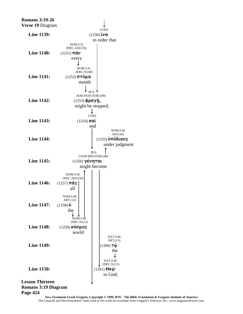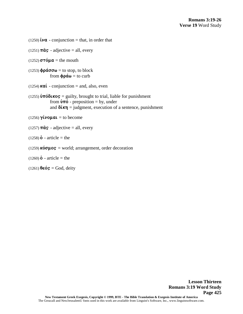```
(1250) \mathbf{i}\nu\mathbf{a} - conjunction = that, in order that
(1251) \pi \hat{a} s - adjective = all, every
(1252) \sigma\tau\acute{o}\mu\acute{a} = the mouth
(1253) \phi \rho \acute{a} \sigma \sigma \omega = to stop, to block
                from \phi \rho \acute{a} \omega = to curb
(1254) \kappa a\hat{i} - conjunction = and, also, even
(1255) \hat{\text{u}}T\hat{\text{o}}kos = guilty, brought to trial, liable for punishment
                from \mathbf{\hat{v}}\mathbf{\hat{n}} - preposition = by, under
                and \delta(\kappa \eta) = judgment, execution of a sentence, punishment
(1256) \gammaivo\muai = to become
(1257) \pi \hat{a} s - adjective = all, every
(1258) o - article = the
(1259) \kappa \acute{o} \sigma \mu \circ s = world; arrangement, order decoration
(1260) o - article = the
(1261) \theta \in \mathbf{6s} = \text{God}, \text{deriv}
```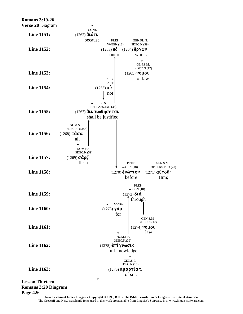

### **Romans 3:20 Diagram**

#### **Page 426**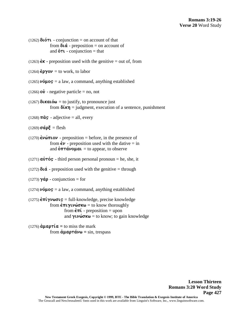```
(1262) \delta \iota on \iota - conjunction = on account of that
                from \delta \alpha - preposition = on account of
                and \ddot{\mathbf{o}}TL - conjunction = that
(1263) \mathbf{\dot{\epsilon}}\mathbf{\kappa} - preposition used with the genitive = out of, from
```

```
(1264) \varepsilon \rho \gamma o \nu = to work, to labor
```
 $(1265)$  **v** $\acute{o}$ **µOS** = a law, a command, anything established

(1266)  $\vec{ov}$  - negative particle = no, not

 $(1267)$  **dikatów** = to justify, to pronounce just from  $\delta(\kappa n)$  = judgment, execution of a sentence, punishment

 $(1268)$   $\pi \hat{a}$ s - adjective = all, every

 $(1269)$   $\sigma$ *á* $\rho \xi$  = flesh

- $(1270)$   $\acute{\text{c}}\nu\acute{\omega}\pi\text{LO}\nu$  preposition = before, in the presence of from  $\dot{\epsilon} \nu$  - preposition used with the dative = in and  $\dot{\text{o}}\pi\tau \dot{\alpha} \nu \text{o} \mu \alpha \iota =$  to appear, to observe
- $(1271)$  **a** $\dot{v}$ **T** $\acute{o}$ **S** third person personal pronoun = he, she, it
- (1272)  $\delta \alpha$  preposition used with the genitive = through

 $(1273) \gamma \dot{\alpha} \rho$  - conjunction = for

(1274)  $\nu \acute{o} \mu$ os = a law, a command, anything established

 $(1275)$  $\epsilon \pi i \gamma \nu \omega \sigma \iota$   $\mathbf{s}$  = full-knowledge, precise knowledge from  $\epsilon \pi \nu \nu \omega \sigma \kappa \omega$  = to know thoroughly from  $\dot{\epsilon} \pi \dot{\iota}$  - preposition = upon and  $\gamma \psi \omega \sigma \kappa \omega =$  to know; to gain knowledge

```
(1276) \dot{\alpha} \mu \alpha \rho \tau \dot{\alpha} = to miss the mark
                         from \dot{\alpha} \mu \alpha \rho \tau \dot{\alpha} \nu \omega = \sin, trespass
```
**Lesson Thirteen Romans 3:20 Word Study Page 427**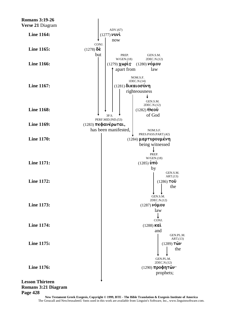

### **Romans 3:21 Diagram** Page 428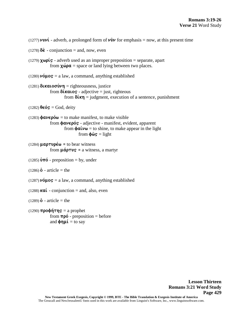```
(1277) \nu \nu \nu' - adverb, a prolonged form of \nu \nu \nu for emphasis = now, at this present time
(1278) \delta \dot{\epsilon} - conjunction = and, now, even
(1279) \chi \omega \rho \zeta - adverb used as an improper preposition = separate, apart
               from \chi \omega \rho \alpha = space or land lying between two places.
(1280) \nuó\muos = a law, a command, anything established
(1281) \deltakaloo'\nun = righteousness, justice
               from \deltakalos - adjective = just, righteous
                          from \delta(\kappa n) = judgment, execution of a sentence, punishment
(1282) \theta \in \mathbf{6}\mathbf{s} = \text{God}, \text{deriv}(1283) \phi a \nu \epsilon \rho \dot{\omega} = to make manifest, to make visible
               from \phi \alpha \nu \epsilon \rho \dot{\alpha} s - adjective - manifest, evident, apparent
                          from \phi a \mathbf{i} \nu \omega = to shine, to make appear in the light
                                    from \phi \hat{\omega} s = light
(1284) \mu a \rho \tau \nu \rho \acute{\epsilon} \omega = to bear witness
               from \mu \acute{a} \rho \tau \nu \varsigma = a witness, a martyr
(1285) \hat{\mathbf{v}}\pi\hat{\mathbf{o}} - preposition = by, under
(1286) o - article = the
(1287) \nuo\muo\mathbf{s} = a law, a command, anything established
(1288) \kappa a\hat{i} - conjunction = and, also, even
(1289) o - article = the
(1290) \pi \rho o \phi \eta \tau \eta s = a prophet
               from \pi \rho \acute{o} - preposition = before
                and \phin\mu\acute{\iota} = to say
```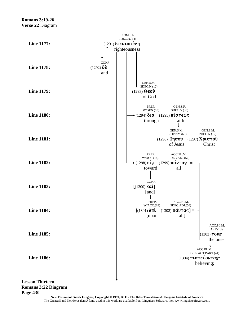

**Lesson Thirteen Romans 3:22 Diagram Page 430**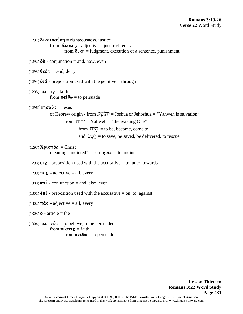$(1291)$  **dixation**  $\nu$ **n** = righteousness, justice from  $\delta$ *kalos* - adjective = just, righteous from  $\delta(\kappa n)$  = judgment, execution of a sentence, punishment  $(1292)$   $\delta \dot{\epsilon}$  - conjunction = and, now, even  $(1293)$   $\theta \in \mathfrak{S} = \text{God}, \text{deriv}$ (1294)  $\delta \alpha$  - preposition used with the genitive = through  $(1295)$   $\pi \omega \tau \omega$  - faith from  $\pi \in \mathfrak{e} \theta \omega =$  to persuade  $(1296)$ **Ingo** $\hat{\mathbf{v}}$  = Jesus of Hebrew origin - from ַע ֻהוֹשׁ ְי = Joshua or Jehoshua = "Yahweh is salvation" from  $\Pi \Pi^* =$  Yahweh = "the existing One" from  $\overline{\mathbb{H}}$  = to be, become, come to and  $\mathbf{W}_{\mathbf{r}}^{\mathbf{v}}$  = to save, be saved, be delivered, to rescue  $(1297)$  **X** $\rho \sigma \tau \acute{\sigma} s =$  Christ meaning "anointed" - from  $\chi \rho \acute{\mu} \omega$  = to anoint (1298)  $\epsilon \dot{\mathbf{i}}$   $\mathbf{s}$  - preposition used with the accusative = to, unto, towards (1299)  $\pi \hat{a} s$  - adjective = all, every (1300)  $\kappa a\hat{i}$  - conjunction = and, also, even (1301)  $\epsilon \pi i$  - preposition used with the accusative = on, to, against (1302)  $\pi \hat{a} s$  - adjective = all, every  $(1303)$  **o** - article = the (1304)  $\pi \iota \sigma \tau \epsilon \dot{\nu} \omega =$  to believe, to be persuaded from  $\pi i \sigma \tau i \varsigma =$  faith from  $\pi \in \mathfrak{e} \Theta \omega$  = to persuade

> **Lesson Thirteen Romans 3:22 Word Study Page 431**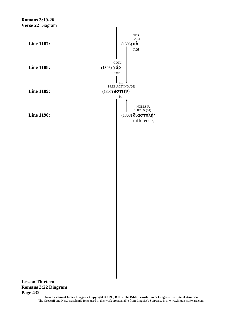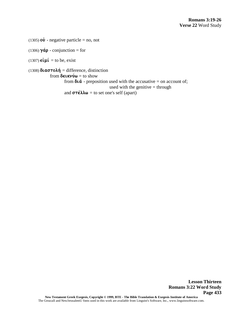(1305)  $\vec{ov}$  - negative particle = no, not

(1306)  $\gamma \dot{\alpha} \rho$  - conjunction = for

 $(1307)$   $\epsilon \mathbf{i} \mu \mathbf{i} =$  to be, exist

(1308)  $\delta \alpha \sigma \tau \circ \lambda \eta =$  difference, distinction from  $\delta$ **elkv** $\acute{v}\omega$  = to show from  $\delta \iota \dot{\alpha}$  - preposition used with the accusative = on account of; used with the genitive  $=$  through and  $\sigma \tau \in \lambda \lambda \omega =$  to set one's self (apart)

> **Lesson Thirteen Romans 3:22 Word Study Page 433**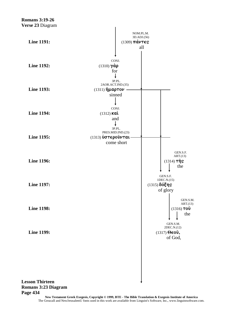

**Page 434**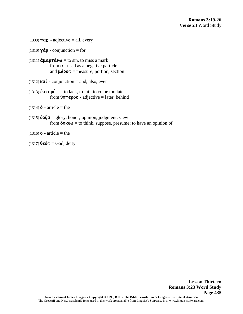**Lesson Thirteen**

- (1309)  $\pi \hat{a} s$  adjective = all, every
- (1310)  $\gamma \dot{\alpha} \rho$  conjunction = for
- $(1311)$   $\dot{\alpha} \mu \alpha \rho \tau \dot{\alpha} \nu \omega =$  to sin, to miss a mark from **a** - used as a negative particle and  $\mu \acute{\epsilon} \rho \circ s$  = measure, portion, section
- (1312)  $\kappa a\hat{i}$  conjunction = and, also, even
- (1313)  $\mathbf{\hat{v}}\sigma\tau\epsilon\rho\dot{\epsilon}\omega$  = to lack, to fail, to come too late from  $\mathbf{v}\sigma\tau\epsilon\rho\sigma\mathbf{s}$  - adjective = later, behind
- $(1314)$  $\dot{\mathbf{o}}$  article = the
- (1315)  $\delta \acute{\phi} \xi \alpha$  = glory, honor; opinion, judgment, view from  $\delta$ **ok** $\acute{\epsilon}$  $\omega$  = to think, suppose, presume; to have an opinion of
- $(1316)$  **o** article = the
- $(1317)$   $\theta \in \mathbf{6}$  $\mathbf{s} = \text{God}, \text{deriv}$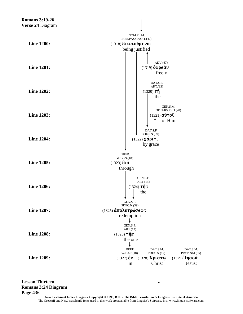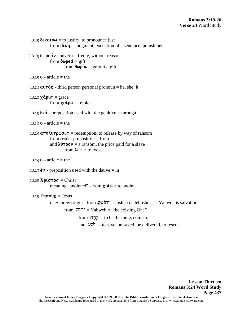```
(1318) \delta \mathbf{I} \times \mathbf{I} \times \mathbf{I} to justify, to pronounce just
                from \delta \mathbf{k} \eta = judgment, execution of a sentence, punishment
(1319) \delta \omega \rho \epsilon \dot{\alpha} \nu - adverb = freely, without reason
                from \delta \omega \rho \epsilon \dot{\alpha} = \text{gift}from \delta \hat{\omega} \rho \circ \nu = \text{gravity}, \text{ gift}(1320) o - article = the
(1321) \vec{a}\vec{v}\tau\vec{o}s - third person personal pronoun = he, she, it
(1322) \chiá\rhois = grace
                from x a \iota \rho \omega = rejoice
(1323) \delta \alpha - preposition used with the genitive = through
(1324)\dot{\mathbf{0}} - article = the
(1325) \hat{\mathbf{a}} \pio\lambda \hat{\mathbf{v}} r\rho \omega \sigma \iotas = redemption, to release by way of ransom
                from \dot{\alpha} \pi \dot{\beta} - preposition = from
                and \lambda \hat{\nu} \tau \rho o \nu = a ransom, the price paid for a slave
                           from \lambda \nu \omega = to loose
(1326) o - article = the
(1327) \dot{\epsilon}v - preposition used with the dative = in
(1328) X\rho \sigma \tau \acute{\sigma} s = Christ
                meaning "anointed" - from \chi \rho \acute{\iota} \omega = to anoint
(1329)Ingous = Jesus
                of Hebrew origin - from ַע ֻהוֹשׁ ְי = Joshua or Jehoshua = "Yahweh is salvation"
                           from יהוה = Yahweh = "the existing One"
                                      from \Pi \overline{\Pi} = to be, become, come to
                                      and \mathbf{w}_r = to save, be saved, be delivered, to rescue
```
**Lesson Thirteen Romans 3:24 Word Study Page 437**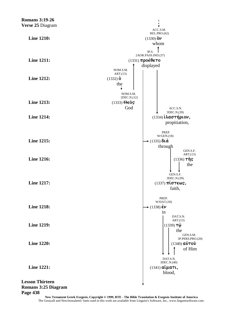

#### Page 438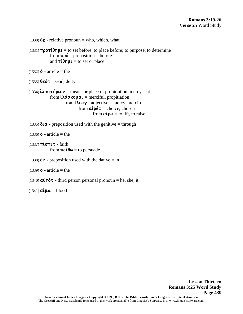(1330)  $\ddot{\text{o}}\text{s}$  - relative pronoun = who, which, what (1331)  $\pi \rho \sigma \tau \acute{i} \theta \eta \mu \iota$  = to set before, to place before; to purpose, to determine from  $\pi \rho \acute{o}$  – preposition = before and  $\tau \acute{\iota} \theta$ n $\mu \iota$  = to set or place  $(1332) \dot{\mathbf{0}}$  - article = the  $(1333)$   $\theta \in \mathbf{6}$  $\mathbf{s} = \text{God}, \text{deriv}$ (1334)  $i\lambda a \sigma \tau \eta \rho \nu =$  means or place of propitiation, mercy seat from  $i\lambda \dot{\alpha} \sigma \kappa o \mu \alpha i$  = merciful, propitiation from  $\hat{\iota}\lambda \epsilon \omega_S$  - adjective = mercy, merciful from  $\alpha i \rho \acute{\epsilon} \omega$  = choice, chosen from  $\alpha\zeta\rho\omega$  = to lift, to raise (1335)  $\delta \alpha$  - preposition used with the genitive = through  $(1336)$  **o** - article = the  $(1337)$   $\pi \omega \tau \omega$  - faith from  $\pi \in \mathfrak{e} \Theta \omega$  = to persuade (1338)  $\dot{\epsilon}$  $\nu$  - preposition used with the dative = in  $(1339)$  **o** - article = the (1340)  $\vec{a}\vec{v}\tau\vec{o}s$  - third person personal pronoun = he, she, it  $(1341)$   $\alpha \hat{\mathbf{i}} \mu \alpha = \text{blood}$ 

> **Lesson Thirteen Romans 3:25 Word Study Page 439**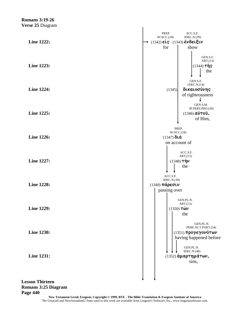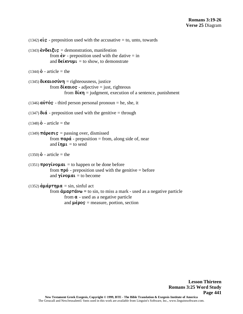```
(1342) \epsilon \dot{\mathbf{i}} \mathbf{s} - preposition used with the accusative = to, unto, towards
(1343) \check{\epsilon} \nu \delta \epsilon \iota \xi \iota \varsigma = demonstration, manifestion
                from \dot{\epsilon} \nu - preposition used with the dative = in
                and \delta \epsilonkvvull = to show, to demonstrate
(1344) o - article = the
(1345) \deltakatoo\nun = righteousness, justice
                from \deltakalos - adjective = just, righteous
                           from \delta(\kappa \eta) = judgment, execution of a sentence, punishment
(1346) \vec{a}\vec{v}\tau\vec{o}s - third person personal pronoun = he, she, it
(1347) \delta \alpha - preposition used with the genitive = through
(1348) o - article = the
(1349) \pi \acute{a} \rho \in \sigma \iota \varsigma = passing over, dismissed
                from \pi \alpha \rho \dot{\alpha} - preposition = from, along side of, near
                and \mathbf{i}\eta\mu\mathbf{l} = \mathbf{t}\sigma send
(1350) o - article = the
(1351) \pi \rho o \gammai\nu o \mu \alpha \iota = to happen or be done before
                from \pi \rho \acute{o} - preposition used with the genitive = before
                and \gammaivoual = to become
(1352) \dot{\alpha} \mu \dot{\alpha} \rho \tau \eta \mu \alpha = \sin \sin \theta, sinful act
                from \dot{\alpha} \mu \alpha \rho \tau \dot{\alpha} \nu \omega = \text{to} \sin, to miss a mark - used as a negative particle
                           from a - used as a negative particle
                           and \mu \acute{\epsilon} \rho \circ s = measure, portion, section
```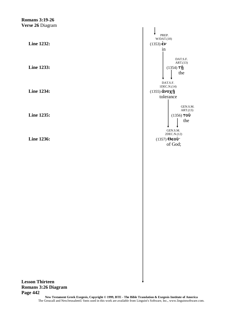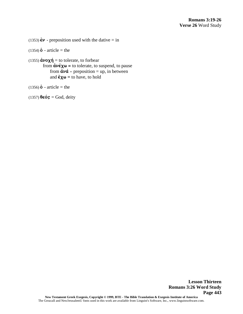(1353)  $\dot{\epsilon}v$  - preposition used with the dative = in

(1354)  $\dot{\mathbf{0}}$  - article = the

(1355)  $\dot{a} \nu o \chi \dot{\eta} =$  to tolerate, to forbear from  $\hat{\mathbf{a}}\mathbf{v}\hat{\mathbf{c}}\mathbf{\chi}\mathbf{\omega}$  = to tolerate, to suspend, to pause from  $\dot{a}\nu\dot{a}$  - preposition = up, in between and  $\acute{\epsilon} \chi \omega$  = to have, to hold

(1356)  $\dot{\mathbf{0}}$  - article = the

 $(1357)$   $\theta \in 6s$  = God, deity

**Lesson Thirteen Romans 3:26 Word Study Page 443**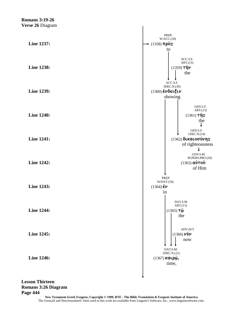

### **Lesson Thirteen Romans 3:26 Diagram** Page 444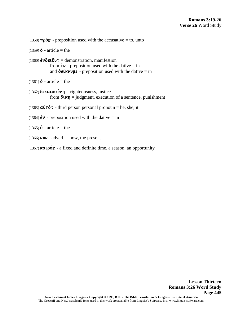(1358)  $\pi \rho \acute{o}S$  - preposition used with the accusative = to, unto

 $(1359)$  **o** - article = the

 $(1360)$   $\check{\epsilon} \nu \delta \epsilon \iota \xi \iota \varsigma$  = demonstration, manifestion from  $\dot{\epsilon}$  $\nu$  - preposition used with the dative = in and  $\delta \epsilon$ *kvvu* - preposition used with the dative = in

 $(1361)$  **o** - article = the

- $(1362)$  **dikatoo** $\nu$ n = righteousness, justice from  $\delta(\kappa \eta)$  = judgment, execution of a sentence, punishment
- (1363)  $\vec{a}\vec{v}\tau\vec{o}s$  third person personal pronoun = he, she, it
- (1364)  $\dot{\epsilon}$  $\nu$  preposition used with the dative = in

 $(1365)$  **o** - article = the

- (1366)  $\mathbf{\hat{v}}\mathbf{\hat{v}}$  adverb = now, the present
- (1367) **katpós** a fixed and definite time, a season, an opportunity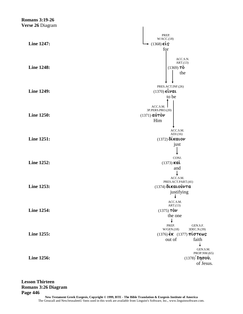**Romans 3:19-26** Verse 26 Diagram PREP.  $W/ACC.(18)$ Line 1247:  $\star$  (1368)  $\epsilon$ is for ACC.S.N.  $ART.(13)$  $(1369)$  TÒ **Line 1248:** the PRES.ACT.INF.(26)  $(1370)$   $\epsilon \hat{i}$ val **Line 1249:** to be  $ACC.S.M.$ 3P.PERS.PRO.(20)  $(1371)$  αυτόν **Line 1250:** Him ACC.S.M.  $ADJ.(16)$ **Line 1251:**  $(1372)$   $\delta$ *i* katov just CONJ. Line 1252:  $(1373)$  Kat and  $\downarrow$ ACC.S.M. PRES.ACT.PART.(41) Line 1253:  $(1374)$  δικαιούντα justifying ACC.S.M.  $ART.(13)$ **Line 1254:**  $(1375)$  TÒV the one  $\downarrow$ PREP. GEN.S.F.  $W/GEN.(18)$ 3DEC.N.(39) Line 1255:  $(1376)$   $\epsilon$ K  $(1377)$   $\pi$ i  $\sigma$ T $\epsilon$ ω $\sigma$ out of faith  $\downarrow$ GEN.S.M. PROP.NM.(65) Line 1256:  $(1378)$  Ιησού. of Jesus.

**Lesson Thirteen Romans 3:26 Diagram** Page 446